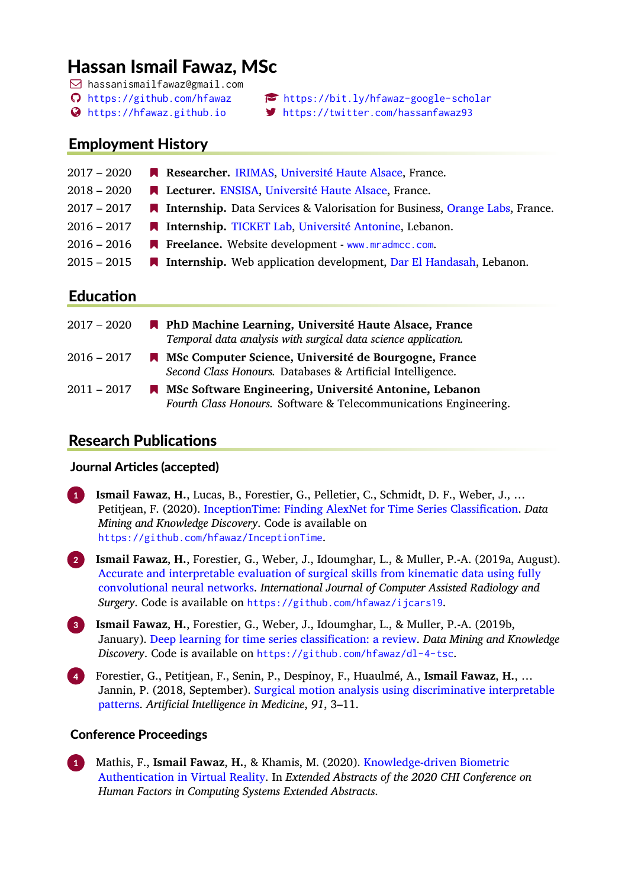# Hassan Ismail Fawaz, MSc

- hassanismailfawaz@gmail.com
- 
- 
- <https://github.com/hfawaz> <https://bit.ly/hfawaz-google-scholar>
- <https://hfawaz.github.io> <https://twitter.com/hassanfawaz93>

# Employment History

| $2017 - 2020$ | Researcher. IRIMAS, Université Haute Alsace, France.                                 |
|---------------|--------------------------------------------------------------------------------------|
| $2018 - 2020$ | <b>A Lecturer.</b> ENSISA, Université Haute Alsace, France.                          |
| $2017 - 2017$ | <b>A</b> Internship. Data Services & Valorisation for Business, Orange Labs, France. |
| $2016 - 2017$ | <b>A Internship.</b> TICKET Lab, Université Antonine, Lebanon.                       |
| $2016 - 2016$ | ■ Freelance. Website development - www.mradmcc.com.                                  |
| $2015 - 2015$ | <b>A</b> Internship. Web application development, Dar El Handasah, Lebanon.          |
|               |                                                                                      |

# **Education**

| $2017 - 2020$ | <b>N</b> PhD Machine Learning, Université Haute Alsace, France<br>Temporal data analysis with surgical data science application.      |
|---------------|---------------------------------------------------------------------------------------------------------------------------------------|
| 2016 – 2017   | MISC Computer Science, Université de Bourgogne, France<br>Second Class Honours. Databases & Artificial Intelligence.                  |
| 2011 – 2017   | <b>Net MSc Software Engineering, Université Antonine, Lebanon</b><br>Fourth Class Honours. Software & Telecommunications Engineering. |

# **Research Publications**

# Journal Articles (accepted)

- 1 **Ismail Fawaz**, **H.**, Lucas, B., Forestier, G., Pelletier, C., Schmidt, D. F., Weber, J., … Petitjean, F. (2020). [InceptionTime: Finding AlexNet for Time Series Classification](https://arxiv.org/pdf/1909.04939.pdf). *Data Mining and Knowledge Discovery*. Code is available on <https://github.com/hfawaz/InceptionTime>.
- 2 **Ismail Fawaz**, **H.**, Forestier, G., Weber, J., Idoumghar, L., & Muller, P.-A. (2019a, August). [Accurate and interpretable evaluation of surgical skills from kinematic data using fully](https://arxiv.org/pdf/1908.07319.pdf) [convolutional neural networks.](https://arxiv.org/pdf/1908.07319.pdf) *International Journal of Computer Assisted Radiology and Surgery*. Code is available on <https://github.com/hfawaz/ijcars19>.
- 3 **Ismail Fawaz**, **H.**, Forestier, G., Weber, J., Idoumghar, L., & Muller, P.-A. (2019b, January). [Deep learning for time series classification: a review.](https://arxiv.org/pdf/1809.04356.pdf) *Data Mining and Knowledge Discovery*. Code is available on <https://github.com/hfawaz/dl-4-tsc>.
- 4 Forestier, G., Petitjean, F., Senin, P., Despinoy, F., Huaulmé, A., **Ismail Fawaz**, **H.**, … Jannin, P. (2018, September). [Surgical motion analysis using discriminative interpretable](https://germain-forestier.info/publis/aim2018.pdf) [patterns](https://germain-forestier.info/publis/aim2018.pdf). *Artificial Intelligence in Medicine*, *91*, 3–11.

# Conference Proceedings

1 Mathis, F., **Ismail Fawaz**, **H.**, & Khamis, M. (2020). [Knowledge-driven Biometric](http://fmathis.com/publications/mathis2020chi2.pdf) [Authentication in Virtual Reality.](http://fmathis.com/publications/mathis2020chi2.pdf) In *Extended Abstracts of the 2020 CHI Conference on Human Factors in Computing Systems Extended Abstracts*.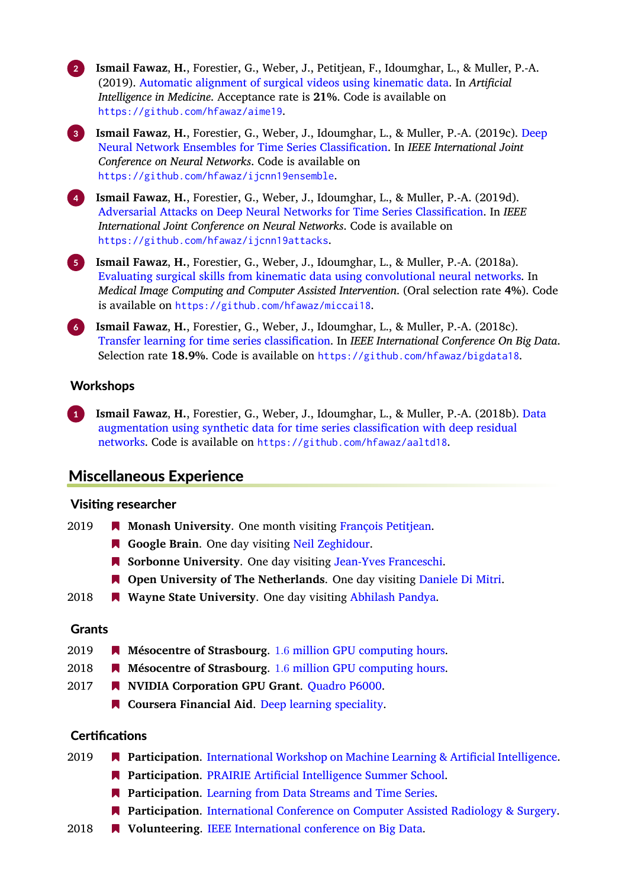2 **Ismail Fawaz**, **H.**, Forestier, G., Weber, J., Petitjean, F., Idoumghar, L., & Muller, P.-A. (2019). [Automatic alignment of surgical videos using kinematic data.](https://arxiv.org/pdf/1904.07302.pdf) In *Artificial Intelligence in Medicine*. Acceptance rate is **21%**. Code is available on <https://github.com/hfawaz/aime19>.

3 **Ismail Fawaz**, **H.**, Forestier, G., Weber, J., Idoumghar, L., & Muller, P.-A. (2019c). [Deep](https://arxiv.org/pdf/1903.06602.pdf) [Neural Network Ensembles for Time Series Classification.](https://arxiv.org/pdf/1903.06602.pdf) In *IEEE International Joint Conference on Neural Networks*. Code is available on <https://github.com/hfawaz/ijcnn19ensemble>.

4 **Ismail Fawaz**, **H.**, Forestier, G., Weber, J., Idoumghar, L., & Muller, P.-A. (2019d). [Adversarial Attacks on Deep Neural Networks for Time Series Classification](https://arxiv.org/pdf/1903.07054.pdf). In *IEEE International Joint Conference on Neural Networks*. Code is available on <https://github.com/hfawaz/ijcnn19attacks>.

5 **Ismail Fawaz**, **H.**, Forestier, G., Weber, J., Idoumghar, L., & Muller, P.-A. (2018a). [Evaluating surgical skills from kinematic data using convolutional neural networks](https://arxiv.org/pdf/1806.02750.pdf). In *Medical Image Computing and Computer Assisted Intervention*. (Oral selection rate **4%**). Code is available on <https://github.com/hfawaz/miccai18>.

6 **Ismail Fawaz**, **H.**, Forestier, G., Weber, J., Idoumghar, L., & Muller, P.-A. (2018c). [Transfer learning for time series classification](https://arxiv.org/pdf/1811.01533.pdf). In *IEEE International Conference On Big Data*. Selection rate **18.9%**. Code is available on <https://github.com/hfawaz/bigdata18>.

#### **Workshops**

1 **Ismail Fawaz**, **H.**, Forestier, G., Weber, J., Idoumghar, L., & Muller, P.-A. (2018b). [Data](https://arxiv.org/pdf/1808.02455.pdf) [augmentation using synthetic data for time series classification with deep residual](https://arxiv.org/pdf/1808.02455.pdf) [networks](https://arxiv.org/pdf/1808.02455.pdf). Code is available on <https://github.com/hfawaz/aaltd18>.

# Miscellaneous Experience

#### Visiধng researcher

- 2019 **Monash University**. One month visiting [François Petitjean.](https://www.francois-petitjean.com/)
	- **Google Brain**. One day visiting [Neil Zeghidour.](https://scholar.google.com/citations?user=fiJamZ0AAAAJ&hl=en&oi=ao)
	- **Sorbonne University**. One day visiting [Jean-Yves Franceschi.](http://perso.ens-lyon.fr/jean-yves.franceschi/)
	- **Open University of The Netherlands**. One day visiting [Daniele Di Mitri.](http://www.dimstudio.org/)
- 2018 **Wayne State University**. One day visiting [Abhilash Pandya](http://ece.eng.wayne.edu/~apandya/).

#### **Grants**

- 2019 **Mésocentre of Strasbourg**. 1*.*6 [million GPU computing hours](https://services-numeriques.unistra.fr/les-services-aux-usagers/hpc/applications-disponibles/systeme-de-files-dattente-slurm.html).
- 2018 **Mésocentre of Strasbourg**. 1*.*6 [million GPU computing hours](https://services-numeriques.unistra.fr/les-services-aux-usagers/hpc/applications-disponibles/systeme-de-files-dattente-slurm.html).
- 2017 **NVIDIA Corporation GPU Grant**. [Quadro P6000](https://developer.nvidia.com/academic_gpu_seeding).
	- **R** Coursera Financial Aid. [Deep learning speciality](https://www.coursera.org/account/accomplishments/certificate/YN8ZWZ6XPWVC).

#### **Certifications**

- 2019 **Participation**. [International Workshop on Machine Learning & Artificial Intelligence](https://workshopmlai.wp.imt.fr/).
	- **Participation.** [PRAIRIE Artificial Intelligence Summer School.](https://project.inria.fr/paiss/)
	- **Participation.** [Learning from Data Streams and Time Series](https://fdst2019.sciencesconf.org/?forward-action=index&forward-controller=index&lang=en).
	- **Participation.** [International Conference on Computer Assisted Radiology & Surgery.](https://www.cars2019.org/)
- 2018 **Volunteering**. [IEEE International conference on Big Data.](http://cci.drexel.edu/bigdata/bigdata2018/index.html)